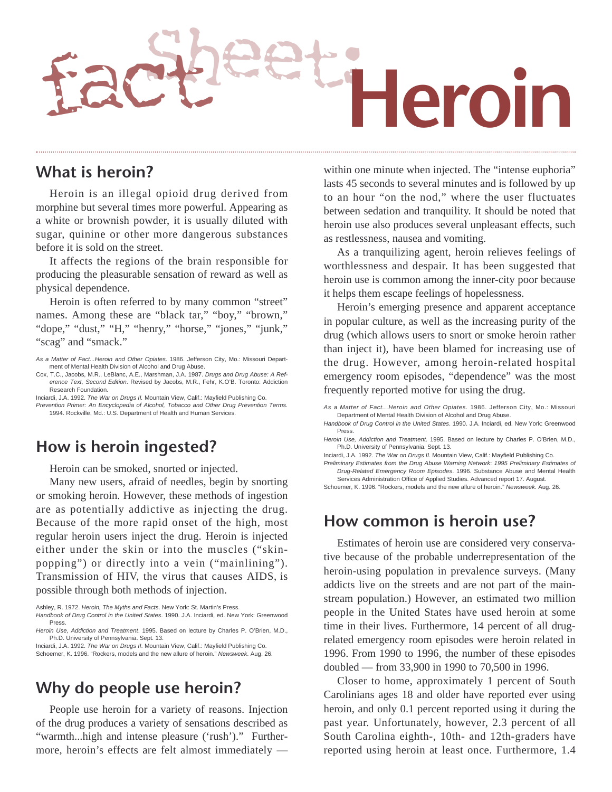

#### **What is heroin?**

Heroin is an illegal opioid drug derived from morphine but several times more powerful. Appearing as a white or brownish powder, it is usually diluted with sugar, quinine or other more dangerous substances before it is sold on the street.

It affects the regions of the brain responsible for producing the pleasurable sensation of reward as well as physical dependence.

Heroin is often referred to by many common "street" names. Among these are "black tar," "boy," "brown," "dope," "dust," "H," "henry," "horse," "jones," "junk," "scag" and "smack."

- Cox, T.C., Jacobs, M.R., LeBlanc, A.E., Marshman, J.A. 1987. Drugs and Drug Abuse: A Reference Text, Second Edition. Revised by Jacobs, M.R., Fehr, K.O'B. Toronto: Addiction Research Foundation.
- Inciardi, J.A. 1992. The War on Drugs II. Mountain View, Calif.: Mayfield Publishing Co. Prevention Primer: An Encyclopedia of Alcohol, Tobacco and Other Drug Prevention Terms. 1994. Rockville, Md.: U.S. Department of Health and Human Services.

#### **How is heroin ingested?**

Heroin can be smoked, snorted or injected.

Many new users, afraid of needles, begin by snorting or smoking heroin. However, these methods of ingestion are as potentially addictive as injecting the drug. Because of the more rapid onset of the high, most regular heroin users inject the drug. Heroin is injected either under the skin or into the muscles ("skinpopping") or directly into a vein ("mainlining"). Transmission of HIV, the virus that causes AIDS, is possible through both methods of injection.

Ashley, R. 1972. Heroin, The Myths and Facts. New York: St. Martin's Press.

Handbook of Drug Control in the United States. 1990. J.A. Inciardi, ed. New York: Greenwood Press.

Inciardi, J.A. 1992. The War on Drugs II. Mountain View, Calif.: Mayfield Publishing Co. Schoemer, K. 1996. "Rockers, models and the new allure of heroin." Newsweek. Aug. 26.

### **Why do people use heroin?**

People use heroin for a variety of reasons. Injection of the drug produces a variety of sensations described as "warmth...high and intense pleasure ('rush')." Furthermore, heroin's effects are felt almost immediately —

within one minute when injected. The "intense euphoria" lasts 45 seconds to several minutes and is followed by up to an hour "on the nod," where the user fluctuates between sedation and tranquility. It should be noted that heroin use also produces several unpleasant effects, such as restlessness, nausea and vomiting.

As a tranquilizing agent, heroin relieves feelings of worthlessness and despair. It has been suggested that heroin use is common among the inner-city poor because it helps them escape feelings of hopelessness.

Heroin's emerging presence and apparent acceptance in popular culture, as well as the increasing purity of the drug (which allows users to snort or smoke heroin rather than inject it), have been blamed for increasing use of the drug. However, among heroin-related hospital emergency room episodes, "dependence" was the most frequently reported motive for using the drug.

As a Matter of Fact...Heroin and Other Opiates. 1986. Jefferson City, Mo.: Missouri Department of Mental Health Division of Alcohol and Drug Abuse.

- Handbook of Drug Control in the United States. 1990. J.A. Inciardi, ed. New York: Greenwood Press.
- Heroin Use, Addiction and Treatment. 1995. Based on lecture by Charles P. O'Brien, M.D., Ph.D. University of Pennsylvania. Sept. 13.

Inciardi, J.A. 1992. The War on Drugs II. Mountain View, Calif.: Mayfield Publishing Co.

Preliminary Estimates from the Drug Abuse Warning Network: 1995 Preliminary Estimates of Drug-Related Emergency Room Episodes. 1996. Substance Abuse and Mental Health Services Administration Office of Applied Studies. Advanced report 17. August.

Schoemer, K. 1996. "Rockers, models and the new allure of heroin." Newsweek. Aug. 26.

#### **How common is heroin use?**

Estimates of heroin use are considered very conservative because of the probable underrepresentation of the heroin-using population in prevalence surveys. (Many addicts live on the streets and are not part of the mainstream population.) However, an estimated two million people in the United States have used heroin at some time in their lives. Furthermore, 14 percent of all drugrelated emergency room episodes were heroin related in 1996. From 1990 to 1996, the number of these episodes doubled — from 33,900 in 1990 to 70,500 in 1996.

Closer to home, approximately 1 percent of South Carolinians ages 18 and older have reported ever using heroin, and only 0.1 percent reported using it during the past year. Unfortunately, however, 2.3 percent of all South Carolina eighth-, 10th- and 12th-graders have reported using heroin at least once. Furthermore, 1.4

As a Matter of Fact...Heroin and Other Opiates. 1986. Jefferson City, Mo.: Missouri Department of Mental Health Division of Alcohol and Drug Abuse.

Heroin Use, Addiction and Treatment. 1995. Based on lecture by Charles P. O'Brien, M.D., Ph.D. University of Pennsylvania. Sept. 13.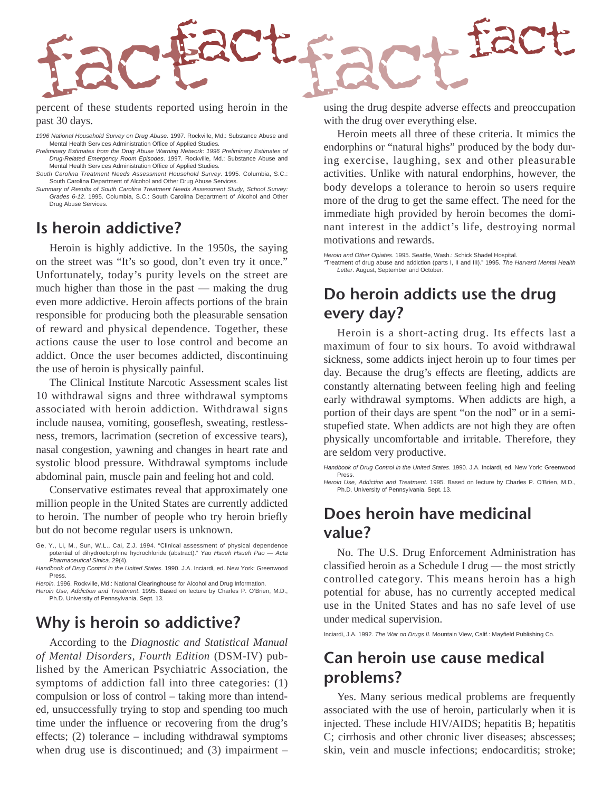

percent of these students reported using heroin in the past 30 days.

1996 National Household Survey on Drug Abuse. 1997. Rockville, Md.: Substance Abuse and Mental Health Services Administration Office of Applied Studies.

Preliminary Estimates from the Drug Abuse Warning Network: 1996 Preliminary Estimates of Drug-Related Emergency Room Episodes. 1997. Rockville, Md.: Substance Abuse and Mental Health Services Administration Office of Applied Studies.

South Carolina Treatment Needs Assessment Household Survey. 1995. Columbia, S.C.: South Carolina Department of Alcohol and Other Drug Abuse Services.

Summary of Results of South Carolina Treatment Needs Assessment Study, School Survey: Grades 6-12. 1995. Columbia, S.C.: South Carolina Department of Alcohol and Other Drug Abuse Services.

#### **Is heroin addictive?**

Heroin is highly addictive. In the 1950s, the saying on the street was "It's so good, don't even try it once." Unfortunately, today's purity levels on the street are much higher than those in the past — making the drug even more addictive. Heroin affects portions of the brain responsible for producing both the pleasurable sensation of reward and physical dependence. Together, these actions cause the user to lose control and become an addict. Once the user becomes addicted, discontinuing the use of heroin is physically painful.

The Clinical Institute Narcotic Assessment scales list 10 withdrawal signs and three withdrawal symptoms associated with heroin addiction. Withdrawal signs include nausea, vomiting, gooseflesh, sweating, restlessness, tremors, lacrimation (secretion of excessive tears), nasal congestion, yawning and changes in heart rate and systolic blood pressure. Withdrawal symptoms include abdominal pain, muscle pain and feeling hot and cold.

Conservative estimates reveal that approximately one million people in the United States are currently addicted to heroin. The number of people who try heroin briefly but do not become regular users is unknown.

Ge, Y., Li, M., Sun, W.L., Cai, Z.J. 1994. "Clinical assessment of physical dependence potential of dihydroetorphine hydrochloride (abstract)." Yao Hsueh Hsueh Pao — Acta Pharmaceutical Sinica. 29(4).

Handbook of Drug Control in the United States. 1990. J.A. Inciardi, ed. New York: Greenwood Press.

Heroin. 1996. Rockville, Md.: National Clearinghouse for Alcohol and Drug Information. Heroin Use, Addiction and Treatment. 1995. Based on lecture by Charles P. O'Brien, M.D.,

Ph.D. University of Pennsylvania. Sept. 13.

#### **Why is heroin so addictive?**

According to the *Diagnostic and Statistical Manual of Mental Disorders, Fourth Edition* (DSM-IV) published by the American Psychiatric Association, the symptoms of addiction fall into three categories: (1) compulsion or loss of control – taking more than intended, unsuccessfully trying to stop and spending too much time under the influence or recovering from the drug's effects; (2) tolerance – including withdrawal symptoms when drug use is discontinued; and  $(3)$  impairment – using the drug despite adverse effects and preoccupation with the drug over everything else.

Heroin meets all three of these criteria. It mimics the endorphins or "natural highs" produced by the body during exercise, laughing, sex and other pleasurable activities. Unlike with natural endorphins, however, the body develops a tolerance to heroin so users require more of the drug to get the same effect. The need for the immediate high provided by heroin becomes the dominant interest in the addict's life, destroying normal motivations and rewards.

Heroin and Other Opiates. 1995. Seattle, Wash.: Schick Shadel Hospital. "Treatment of drug abuse and addiction (parts I, II and III)." 1995. The Harvard Mental Health Letter. August. September and October.

# **Do heroin addicts use the drug every day?**

Heroin is a short-acting drug. Its effects last a maximum of four to six hours. To avoid withdrawal sickness, some addicts inject heroin up to four times per day. Because the drug's effects are fleeting, addicts are constantly alternating between feeling high and feeling early withdrawal symptoms. When addicts are high, a portion of their days are spent "on the nod" or in a semistupefied state. When addicts are not high they are often physically uncomfortable and irritable. Therefore, they are seldom very productive.

Handbook of Drug Control in the United States. 1990. J.A. Inciardi, ed. New York: Greenwood Press.

Heroin Use, Addiction and Treatment. 1995. Based on lecture by Charles P. O'Brien, M.D., Ph.D. University of Pennsylvania. Sept. 13.

### **Does heroin have medicinal value?**

No. The U.S. Drug Enforcement Administration has classified heroin as a Schedule I drug — the most strictly controlled category. This means heroin has a high potential for abuse, has no currently accepted medical use in the United States and has no safe level of use under medical supervision.

Inciardi, J.A. 1992. The War on Drugs II. Mountain View, Calif.: Mayfield Publishing Co.

### **Can heroin use cause medical problems?**

Yes. Many serious medical problems are frequently associated with the use of heroin, particularly when it is injected. These include HIV/AIDS; hepatitis B; hepatitis C; cirrhosis and other chronic liver diseases; abscesses; skin, vein and muscle infections; endocarditis; stroke;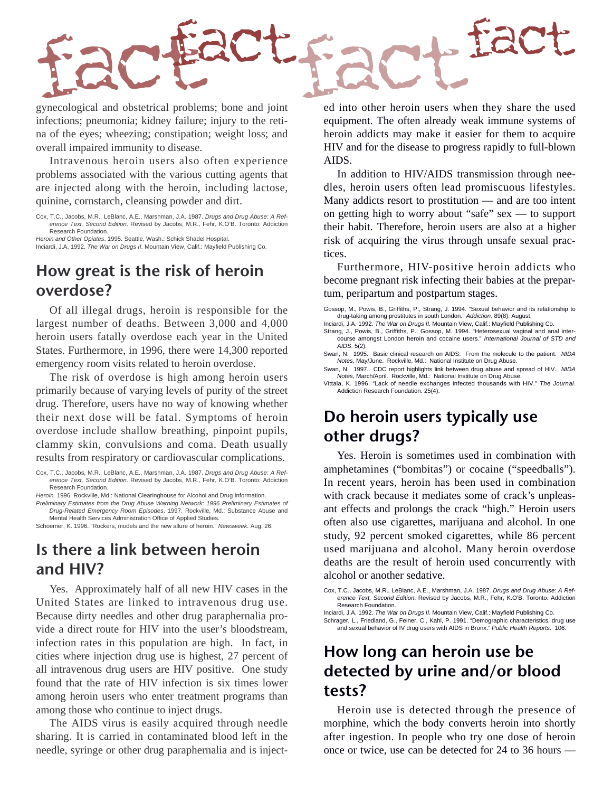

gynecological and obstetrical problems; bone and joint infections; pneumonia; kidney failure; injury to the retina of the eyes; wheezing; constipation; weight loss; and overall impaired immunity to disease.

Intravenous heroin users also often experience problems associated with the various cutting agents that are injected along with the heroin, including lactose, quinine, cornstarch, cleansing powder and dirt.

Cox, T.C., Jacobs, M.R., LeBlanc, A.E., Marshman, J.A. 1987. Drugs and Drug Abuse: A Reference Text, Second Edition. Revised by Jacobs, M.R., Fehr, K.O'B. Toronto: Addiction Research Foundation.

Heroin and Other Opiates. 1995. Seattle, Wash.: Schick Shadel Hospital. Inciardi, J.A. 1992. The War on Drugs II. Mountain View, Calif.: Mayfield Publishing Co.

### **How great is the risk of heroin overdose?**

Of all illegal drugs, heroin is responsible for the largest number of deaths. Between 3,000 and 4,000 heroin users fatally overdose each year in the United States. Furthermore, in 1996, there were 14,300 reported emergency room visits related to heroin overdose.

The risk of overdose is high among heroin users primarily because of varying levels of purity of the street drug. Therefore, users have no way of knowing whether their next dose will be fatal. Symptoms of heroin overdose include shallow breathing, pinpoint pupils, clammy skin, convulsions and coma. Death usually results from respiratory or cardiovascular complications.

Cox, T.C., Jacobs, M.R., LeBlanc, A.E., Marshman, J.A. 1987. Drugs and Drug Abuse: A Reference Text, Second Edition. Revised by Jacobs, M.R., Fehr, K.O'B. Toronto: Addiction Research Foundation.

Heroin. 1996. Rockville, Md.: National Clearinghouse for Alcohol and Drug Information.

Preliminary Estimates from the Drug Abuse Warning Network: 1996 Preliminary Estimates of Drug-Related Emergency Room Episodes. 1997. Rockville, Md.: Substance Abuse and Mental Health Services Administration Office of Applied Studies.

Schoemer, K. 1996. "Rockers, models and the new allure of heroin." Newsweek. Aug. 26.

#### **Is there a link between heroin and HIV?**

Yes. Approximately half of all new HIV cases in the United States are linked to intravenous drug use. Because dirty needles and other drug paraphernalia provide a direct route for HIV into the user's bloodstream, infection rates in this population are high. In fact, in cities where injection drug use is highest, 27 percent of all intravenous drug users are HIV positive. One study found that the rate of HIV infection is six times lower among heroin users who enter treatment programs than among those who continue to inject drugs.

The AIDS virus is easily acquired through needle sharing. It is carried in contaminated blood left in the needle, syringe or other drug paraphernalia and is injected into other heroin users when they share the used equipment. The often already weak immune systems of heroin addicts may make it easier for them to acquire HIV and for the disease to progress rapidly to full-blown AIDS.

In addition to HIV/AIDS transmission through needles, heroin users often lead promiscuous lifestyles. Many addicts resort to prostitution — and are too intent on getting high to worry about "safe" sex — to support their habit. Therefore, heroin users are also at a higher risk of acquiring the virus through unsafe sexual practices.

Furthermore, HIV-positive heroin addicts who become pregnant risk infecting their babies at the prepartum, peripartum and postpartum stages.

Gossop, M., Powis, B., Griffiths, P., Strang, J. 1994. "Sexual behavior and its relationship to drug-taking among prostitutes in south London." Addiction. 89(8). August.

Inciardi, J.A. 1992. The War on Drugs II. Mountain View, Calif.: Mayfield Publishing Co. Strang, J., Powis, B., Griffiths, P., Gossop, M. 1994. "Heterosexual vaginal and anal inter-

course amongst London heroin and cocaine users." International Journal of STD and AIDS. 5(2).

Swan, N. 1995. Basic clinical research on AIDS: From the molecule to the patient. NIDA Notes, May/June. Rockville, Md.: National Institute on Drug Abuse.

Swan, N. 1997. CDC report highlights link between drug abuse and spread of HIV. NIDA Notes, March/April. Rockville, Md.: National Institute on Drug Abuse.

Vittala, K. 1996. "Lack of needle exchanges infected thousands with HIV." The Journal. Addiction Research Foundation. 25(4).

### **Do heroin users typically use other drugs?**

Yes. Heroin is sometimes used in combination with amphetamines ("bombitas") or cocaine ("speedballs"). In recent years, heroin has been used in combination with crack because it mediates some of crack's unpleasant effects and prolongs the crack "high." Heroin users often also use cigarettes, marijuana and alcohol. In one study, 92 percent smoked cigarettes, while 86 percent used marijuana and alcohol. Many heroin overdose deaths are the result of heroin used concurrently with alcohol or another sedative.

Cox, T.C., Jacobs, M.R., LeBlanc, A.E., Marshman, J.A. 1987. Drugs and Drug Abuse: A Reference Text, Second Edition. Revised by Jacobs, M.R., Fehr, K.O'B. Toronto: Addiction Research Foundation.

Inciardi, J.A. 1992. The War on Drugs II. Mountain View, Calif.: Mayfield Publishing Co. Schrager, L., Friedland, G., Feiner, C., Kahl, P. 1991. "Demographic characteristics, drug use and sexual behavior of IV drug users with AIDS in Bronx." Public Health Reports. 106.

### **How long can heroin use be detected by urine and/or blood tests?**

Heroin use is detected through the presence of morphine, which the body converts heroin into shortly after ingestion. In people who try one dose of heroin once or twice, use can be detected for 24 to 36 hours —